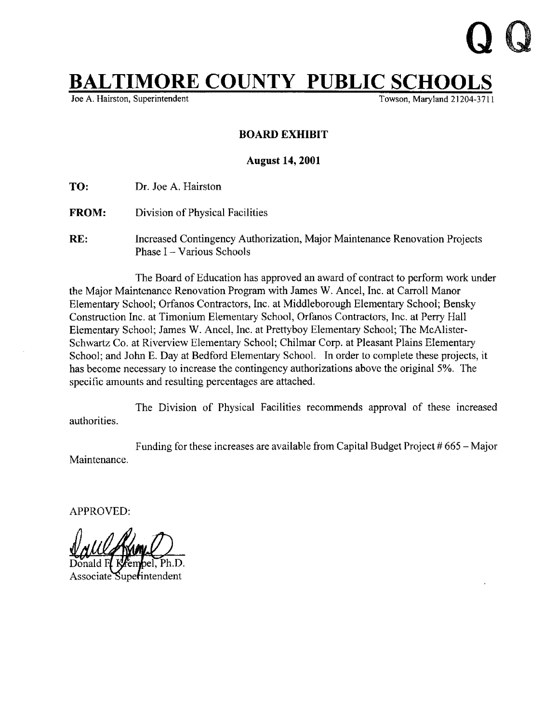## $L$ TIMORE COUNTY PUBLIC SCHOOLS

Joe A. Hairston, Superintendent

## BOARD EXHIBIT

## August 14, 2001

TO: Dr. Joe A. Hairston

- FROM: Division of Physical Facilities
- RE: Increased Contingency Authorization, Major Maintenance Renovation Projects Phase I - Various Schools

The Board of Education has approved an award of contract to perform work under the Major Maintenance Renovation Program with James W. Ancel, Inc. at Carroll Manor Elementary School; Orfanos Contractors, Inc. at Middleborough Elementary School; Bensky Construction Inc . at Timonium Elementary School, Orfanos Contractors, Inc. at Perry Hall Elementary School; James W. Ancel, Inc. at Prettyboy Elementary School; The McAlister-Schwartz Co. at Riverview Elementary School; Chilmar Corp. at Pleasant Plains Elementary School; and John E. Day at Bedford Elementary School. In order to complete these projects, it has become necessary to increase the contingency authorizations above the original 5% . The specific amounts and resulting percentages are attached.

authorities . The Division of Physical Facilities recommends approval of these increased

Maintenance. Funding for these increases are available from Capital Budget Project # 665 - Major

APPROVED:

Associate Superintendent